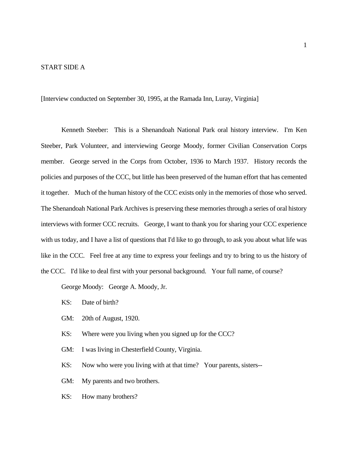### START SIDE A

[Interview conducted on September 30, 1995, at the Ramada Inn, Luray, Virginia]

Kenneth Steeber: This is a Shenandoah National Park oral history interview. I'm Ken Steeber, Park Volunteer, and interviewing George Moody, former Civilian Conservation Corps member. George served in the Corps from October, 1936 to March 1937. History records the policies and purposes of the CCC, but little has been preserved of the human effort that has cemented it together. Much of the human history of the CCC exists only in the memories of those who served. The Shenandoah National Park Archives is preserving these memories through a series of oral history interviews with former CCC recruits. George, I want to thank you for sharing your CCC experience with us today, and I have a list of questions that I'd like to go through, to ask you about what life was like in the CCC. Feel free at any time to express your feelings and try to bring to us the history of the CCC. I'd like to deal first with your personal background. Your full name, of course?

George Moody: George A. Moody, Jr.

- KS: Date of birth?
- GM: 20th of August, 1920.
- KS: Where were you living when you signed up for the CCC?
- GM: I was living in Chesterfield County, Virginia.

KS: Now who were you living with at that time? Your parents, sisters--

- GM: My parents and two brothers.
- KS: How many brothers?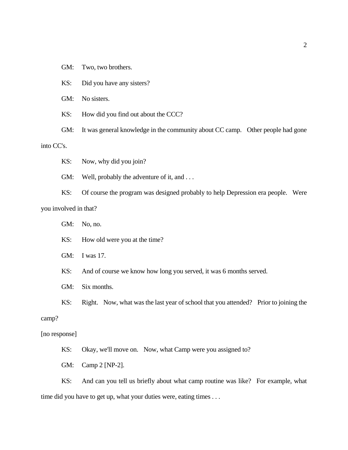- GM: Two, two brothers.
- KS: Did you have any sisters?
- GM: No sisters.
- KS: How did you find out about the CCC?
- GM: It was general knowledge in the community about CC camp. Other people had gone into CC's.
	- KS: Now, why did you join?
	- GM: Well, probably the adventure of it, and ...
- KS: Of course the program was designed probably to help Depression era people. Were you involved in that?
	- GM: No, no.
	- KS: How old were you at the time?
	- GM: I was 17.
	- KS: And of course we know how long you served, it was 6 months served.
	- GM: Six months.
	- KS: Right. Now, what was the last year of school that you attended? Prior to joining the

### camp?

### [no response]

- KS: Okay, we'll move on. Now, what Camp were you assigned to?
- GM: Camp 2 [NP-2].

KS: And can you tell us briefly about what camp routine was like? For example, what time did you have to get up, what your duties were, eating times . . .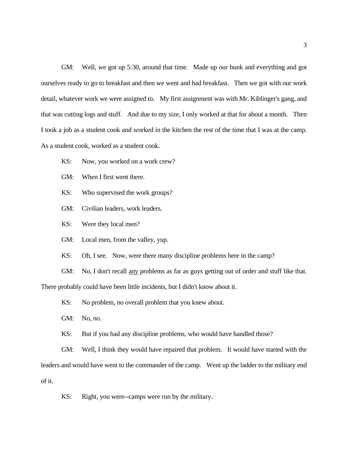GM: Well, we got up 5:30, around that time. Made up our bunk and everything and got ourselves ready to go to breakfast and then we went and had breakfast. Then we got with our work detail, whatever work we were assigned to. My first assignment was with Mr. Kiblinger's gang, and that was cutting logs and stuff. And due to my size, I only worked at that for about a month. Then I took a job as a student cook and worked in the kitchen the rest of the time that I was at the camp. As a student cook, worked as a student cook.

- KS: Now, you worked on a work crew?
- GM: When I first went there.
- KS: Who supervised the work groups?
- GM: Civilian leaders, work leaders.
- KS: Were they local men?
- GM: Local men, from the valley, yup.
- KS: Oh, I see. Now, were there many discipline problems here in the camp?
- GM: No, I don't recall any problems as far as guys getting out of order and stuff like that.

There probably could have been little incidents, but I didn't know about it.

- KS: No problem, no overall problem that you knew about.
- GM: No, no.
- KS: But if you had any discipline problems, who would have handled those?

GM: Well, I think they would have repaired that problem. It would have started with the leaders and would have went to the commander of the camp. Went up the ladder to the military end of it.

KS: Right, you were--camps were run by the military.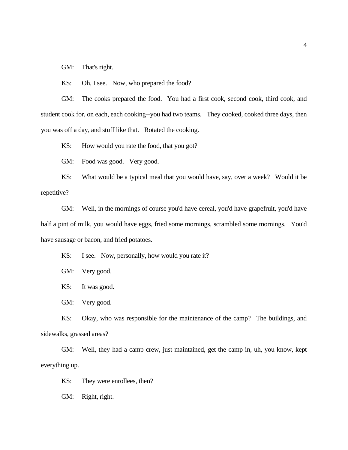GM: That's right.

KS: Oh, I see. Now, who prepared the food?

GM: The cooks prepared the food. You had a first cook, second cook, third cook, and student cook for, on each, each cooking--you had two teams. They cooked, cooked three days, then you was off a day, and stuff like that. Rotated the cooking.

KS: How would you rate the food, that you got?

GM: Food was good. Very good.

KS: What would be a typical meal that you would have, say, over a week? Would it be repetitive?

GM: Well, in the mornings of course you'd have cereal, you'd have grapefruit, you'd have half a pint of milk, you would have eggs, fried some mornings, scrambled some mornings. You'd have sausage or bacon, and fried potatoes.

KS: I see. Now, personally, how would you rate it?

GM: Very good.

KS: It was good.

GM: Very good.

KS: Okay, who was responsible for the maintenance of the camp? The buildings, and sidewalks, grassed areas?

GM: Well, they had a camp crew, just maintained, get the camp in, uh, you know, kept everything up.

KS: They were enrollees, then?

GM: Right, right.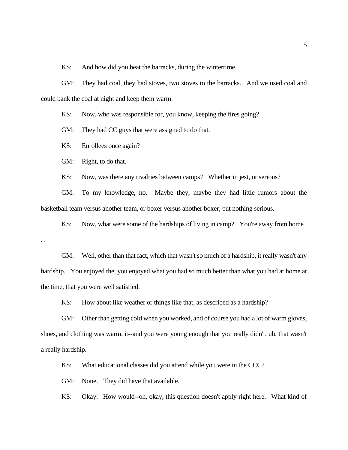KS: And how did you heat the barracks, during the wintertime.

GM: They had coal, they had stoves, two stoves to the barracks. And we used coal and could bank the coal at night and keep them warm.

KS: Now, who was responsible for, you know, keeping the fires going?

GM: They had CC guys that were assigned to do that.

KS: Enrollees once again?

GM: Right, to do that.

KS: Now, was there any rivalries between camps? Whether in jest, or serious?

GM: To my knowledge, no. Maybe they, maybe they had little rumors about the basketball team versus another team, or boxer versus another boxer, but nothing serious.

KS: Now, what were some of the hardships of living in camp? You're away from home. . .

GM: Well, other than that fact, which that wasn't so much of a hardship, it really wasn't any hardship. You enjoyed the, you enjoyed what you had so much better than what you had at home at the time, that you were well satisfied.

KS: How about like weather or things like that, as described as a hardship?

GM: Other than getting cold when you worked, and of course you had a lot of warm gloves, shoes, and clothing was warm, it--and you were young enough that you really didn't, uh, that wasn't a really hardship.

KS: What educational classes did you attend while you were in the CCC?

GM: None. They did have that available.

KS: Okay. How would--oh, okay, this question doesn't apply right here. What kind of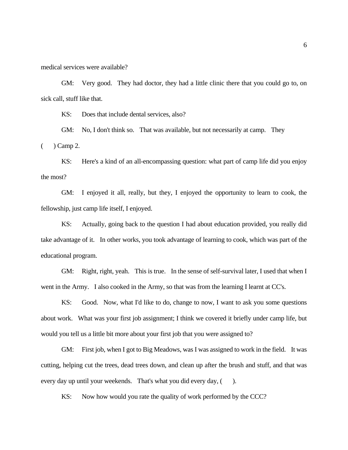medical services were available?

GM: Very good. They had doctor, they had a little clinic there that you could go to, on sick call, stuff like that.

KS: Does that include dental services, also?

GM: No, I don't think so. That was available, but not necessarily at camp. They  $($   $)$  Camp 2.

KS: Here's a kind of an all-encompassing question: what part of camp life did you enjoy the most?

GM: I enjoyed it all, really, but they, I enjoyed the opportunity to learn to cook, the fellowship, just camp life itself, I enjoyed.

KS: Actually, going back to the question I had about education provided, you really did take advantage of it. In other works, you took advantage of learning to cook, which was part of the educational program.

GM: Right, right, yeah. This is true. In the sense of self-survival later, I used that when I went in the Army. I also cooked in the Army, so that was from the learning I learnt at CC's.

KS: Good. Now, what I'd like to do, change to now, I want to ask you some questions about work. What was your first job assignment; I think we covered it briefly under camp life, but would you tell us a little bit more about your first job that you were assigned to?

GM: First job, when I got to Big Meadows, was I was assigned to work in the field. It was cutting, helping cut the trees, dead trees down, and clean up after the brush and stuff, and that was every day up until your weekends. That's what you did every day,  $($ ).

KS: Now how would you rate the quality of work performed by the CCC?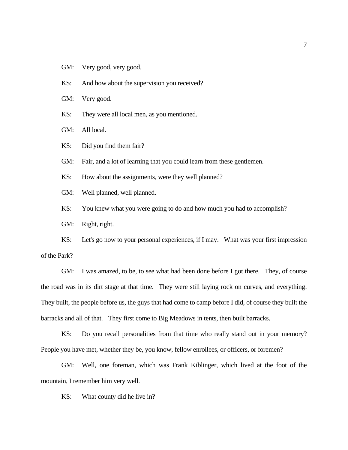GM: Very good, very good.

KS: And how about the supervision you received?

GM: Very good.

KS: They were all local men, as you mentioned.

GM: All local.

KS: Did you find them fair?

GM: Fair, and a lot of learning that you could learn from these gentlemen.

KS: How about the assignments, were they well planned?

GM: Well planned, well planned.

KS: You knew what you were going to do and how much you had to accomplish?

GM: Right, right.

KS: Let's go now to your personal experiences, if I may. What was your first impression of the Park?

GM: I was amazed, to be, to see what had been done before I got there. They, of course the road was in its dirt stage at that time. They were still laying rock on curves, and everything. They built, the people before us, the guys that had come to camp before I did, of course they built the barracks and all of that. They first come to Big Meadows in tents, then built barracks.

KS: Do you recall personalities from that time who really stand out in your memory? People you have met, whether they be, you know, fellow enrollees, or officers, or foremen?

GM: Well, one foreman, which was Frank Kiblinger, which lived at the foot of the mountain, I remember him very well.

KS: What county did he live in?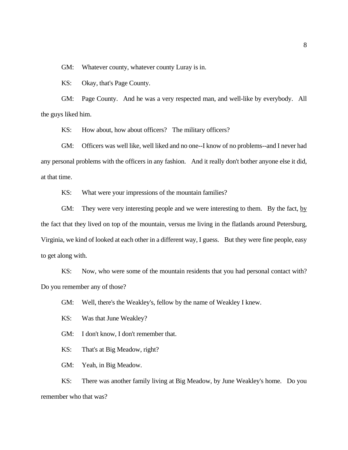GM: Whatever county, whatever county Luray is in.

KS: Okay, that's Page County.

GM: Page County. And he was a very respected man, and well-like by everybody. All the guys liked him.

KS: How about, how about officers? The military officers?

GM: Officers was well like, well liked and no one--I know of no problems--and I never had any personal problems with the officers in any fashion. And it really don't bother anyone else it did, at that time.

KS: What were your impressions of the mountain families?

GM: They were very interesting people and we were interesting to them. By the fact, by the fact that they lived on top of the mountain, versus me living in the flatlands around Petersburg, Virginia, we kind of looked at each other in a different way, I guess. But they were fine people, easy to get along with.

KS: Now, who were some of the mountain residents that you had personal contact with? Do you remember any of those?

GM: Well, there's the Weakley's, fellow by the name of Weakley I knew.

KS: Was that June Weakley?

GM: I don't know, I don't remember that.

KS: That's at Big Meadow, right?

GM: Yeah, in Big Meadow.

KS: There was another family living at Big Meadow, by June Weakley's home. Do you remember who that was?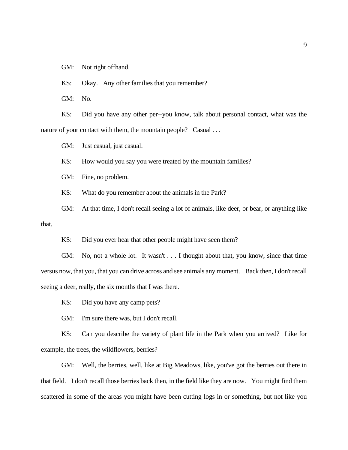GM: Not right offhand.

KS: Okay. Any other families that you remember?

GM: No.

KS: Did you have any other per--you know, talk about personal contact, what was the nature of your contact with them, the mountain people? Casual ...

GM: Just casual, just casual.

KS: How would you say you were treated by the mountain families?

GM: Fine, no problem.

KS: What do you remember about the animals in the Park?

GM: At that time, I don't recall seeing a lot of animals, like deer, or bear, or anything like that.

KS: Did you ever hear that other people might have seen them?

GM: No, not a whole lot. It wasn't . . . I thought about that, you know, since that time versus now, that you, that you can drive across and see animals any moment. Back then, I don't recall seeing a deer, really, the six months that I was there.

KS: Did you have any camp pets?

GM: I'm sure there was, but I don't recall.

KS: Can you describe the variety of plant life in the Park when you arrived? Like for example, the trees, the wildflowers, berries?

GM: Well, the berries, well, like at Big Meadows, like, you've got the berries out there in that field. I don't recall those berries back then, in the field like they are now. You might find them scattered in some of the areas you might have been cutting logs in or something, but not like you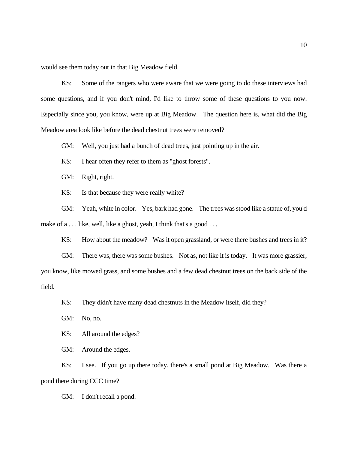would see them today out in that Big Meadow field.

KS: Some of the rangers who were aware that we were going to do these interviews had some questions, and if you don't mind, I'd like to throw some of these questions to you now. Especially since you, you know, were up at Big Meadow. The question here is, what did the Big Meadow area look like before the dead chestnut trees were removed?

GM: Well, you just had a bunch of dead trees, just pointing up in the air.

KS: I hear often they refer to them as "ghost forests".

GM: Right, right.

KS: Is that because they were really white?

GM: Yeah, white in color. Yes, bark had gone. The trees was stood like a statue of, you'd make of a . . . like, well, like a ghost, yeah, I think that's a good . . .

KS: How about the meadow? Was it open grassland, or were there bushes and trees in it?

GM: There was, there was some bushes. Not as, not like it is today. It was more grassier, you know, like mowed grass, and some bushes and a few dead chestnut trees on the back side of the field.

KS: They didn't have many dead chestnuts in the Meadow itself, did they?

GM: No, no.

KS: All around the edges?

GM: Around the edges.

KS: I see. If you go up there today, there's a small pond at Big Meadow. Was there a pond there during CCC time?

GM: I don't recall a pond.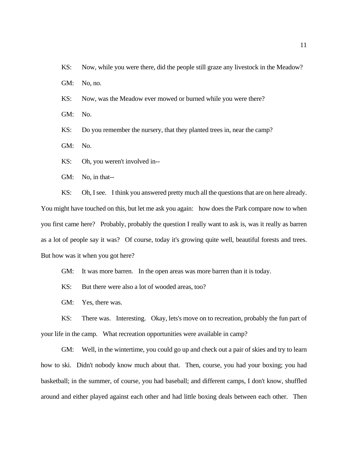KS: Now, while you were there, did the people still graze any livestock in the Meadow?

GM: No, no.

KS: Now, was the Meadow ever mowed or burned while you were there?

GM: No.

KS: Do you remember the nursery, that they planted trees in, near the camp?

GM: No.

KS: Oh, you weren't involved in--

GM: No, in that--

KS: Oh, I see. I think you answered pretty much all the questions that are on here already. You might have touched on this, but let me ask you again: how does the Park compare now to when you first came here? Probably, probably the question I really want to ask is, was it really as barren as a lot of people say it was? Of course, today it's growing quite well, beautiful forests and trees. But how was it when you got here?

GM: It was more barren. In the open areas was more barren than it is today.

KS: But there were also a lot of wooded areas, too?

GM: Yes, there was.

KS: There was. Interesting. Okay, lets's move on to recreation, probably the fun part of your life in the camp. What recreation opportunities were available in camp?

GM: Well, in the wintertime, you could go up and check out a pair of skies and try to learn how to ski. Didn't nobody know much about that. Then, course, you had your boxing; you had basketball; in the summer, of course, you had baseball; and different camps, I don't know, shuffled around and either played against each other and had little boxing deals between each other. Then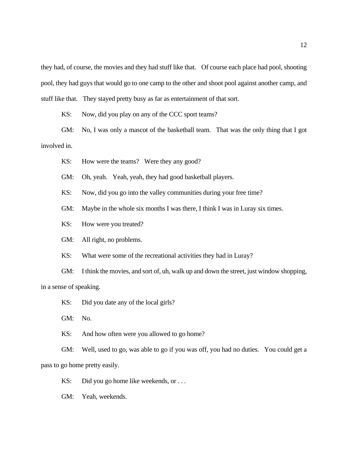they had, of course, the movies and they had stuff like that. Of course each place had pool, shooting pool, they had guys that would go to one camp to the other and shoot pool against another camp, and stuff like that. They stayed pretty busy as far as entertainment of that sort.

KS: Now, did you play on any of the CCC sport teams?

GM: No, I was only a mascot of the basketball team. That was the only thing that I got involved in.

KS: How were the teams? Were they any good?

GM: Oh, yeah. Yeah, yeah, they had good basketball players.

KS: Now, did you go into the valley communities during your free time?

GM: Maybe in the whole six months I was there, I think I was in Luray six times.

KS: How were you treated?

GM: All right, no problems.

KS: What were some of the recreational activities they had in Luray?

GM: I think the movies, and sort of, uh, walk up and down the street, just window shopping, in a sense of speaking.

KS: Did you date any of the local girls?

GM: No.

KS: And how often were you allowed to go home?

GM: Well, used to go, was able to go if you was off, you had no duties. You could get a pass to go home pretty easily.

KS: Did you go home like weekends, or ...

GM: Yeah, weekends.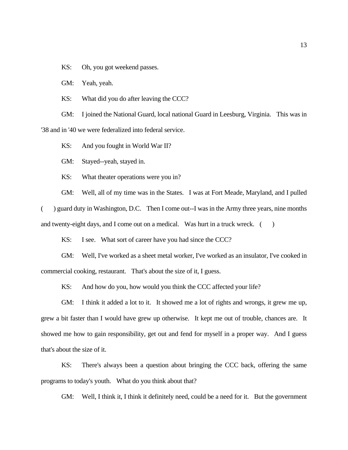KS: Oh, you got weekend passes.

GM: Yeah, yeah.

KS: What did you do after leaving the CCC?

GM: I joined the National Guard, local national Guard in Leesburg, Virginia. This was in '38 and in '40 we were federalized into federal service.

KS: And you fought in World War II?

GM: Stayed--yeah, stayed in.

KS: What theater operations were you in?

GM: Well, all of my time was in the States. I was at Fort Meade, Maryland, and I pulled

( ) guard duty in Washington, D.C. Then I come out--I was in the Army three years, nine months and twenty-eight days, and I come out on a medical. Was hurt in a truck wreck.  $($ )

KS: I see. What sort of career have you had since the CCC?

GM: Well, I've worked as a sheet metal worker, I've worked as an insulator, I've cooked in commercial cooking, restaurant. That's about the size of it, I guess.

KS: And how do you, how would you think the CCC affected your life?

GM: I think it added a lot to it. It showed me a lot of rights and wrongs, it grew me up, grew a bit faster than I would have grew up otherwise. It kept me out of trouble, chances are. It showed me how to gain responsibility, get out and fend for myself in a proper way. And I guess that's about the size of it.

KS: There's always been a question about bringing the CCC back, offering the same programs to today's youth. What do you think about that?

GM: Well, I think it, I think it definitely need, could be a need for it. But the government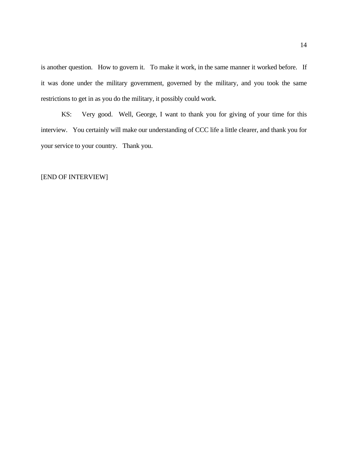is another question. How to govern it. To make it work, in the same manner it worked before. If it was done under the military government, governed by the military, and you took the same restrictions to get in as you do the military, it possibly could work.

KS: Very good. Well, George, I want to thank you for giving of your time for this interview. You certainly will make our understanding of CCC life a little clearer, and thank you for your service to your country. Thank you.

### [END OF INTERVIEW]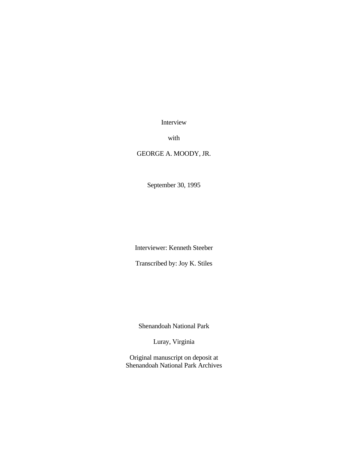Interview

with

## GEORGE A. MOODY, JR.

September 30, 1995

Interviewer: Kenneth Steeber

Transcribed by: Joy K. Stiles

Shenandoah National Park

Luray, Virginia

Original manuscript on deposit at Shenandoah National Park Archives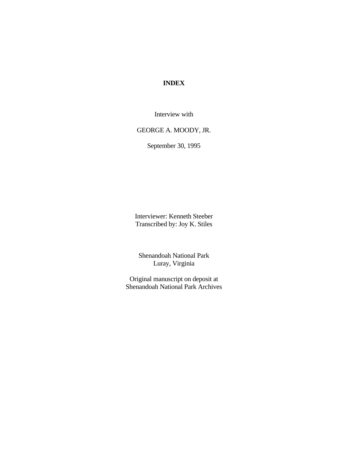# **INDEX**

Interview with

# GEORGE A. MOODY, JR.

September 30, 1995

Interviewer: Kenneth Steeber Transcribed by: Joy K. Stiles

Shenandoah National Park Luray, Virginia

Original manuscript on deposit at Shenandoah National Park Archives